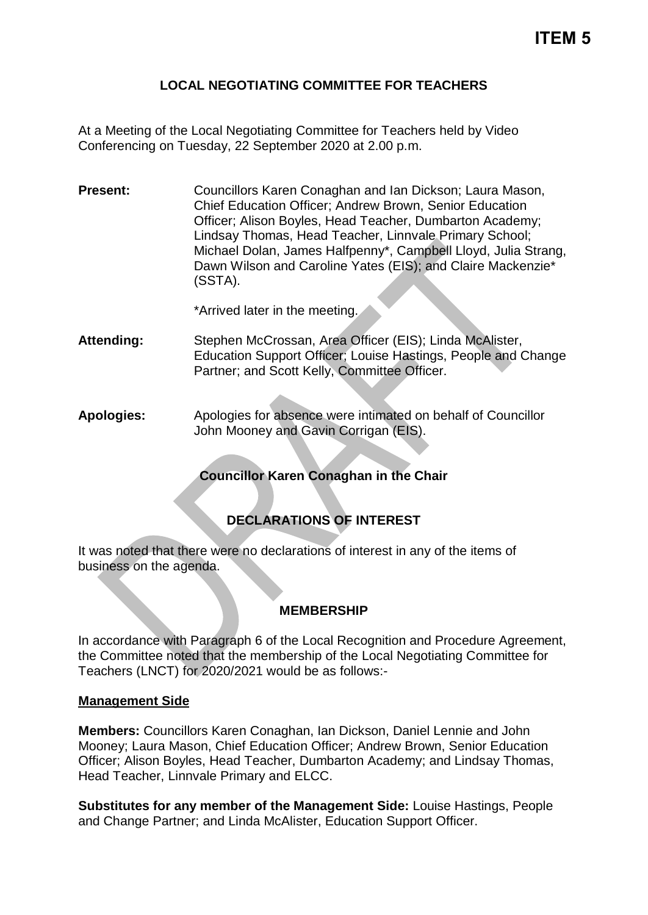#### **LOCAL NEGOTIATING COMMITTEE FOR TEACHERS**

At a Meeting of the Local Negotiating Committee for Teachers held by Video Conferencing on Tuesday, 22 September 2020 at 2.00 p.m.

**Present:** Councillors Karen Conaghan and Ian Dickson; Laura Mason, Chief Education Officer; Andrew Brown, Senior Education Officer; Alison Boyles, Head Teacher, Dumbarton Academy; Lindsay Thomas, Head Teacher, Linnvale Primary School; Michael Dolan, James Halfpenny\*, Campbell Lloyd, Julia Strang, Dawn Wilson and Caroline Yates (EIS); and Claire Mackenzie\* (SSTA).

\*Arrived later in the meeting.

**Attending:** Stephen McCrossan, Area Officer (EIS); Linda McAlister, Education Support Officer; Louise Hastings, People and Change Partner; and Scott Kelly, Committee Officer.

**Apologies:** Apologies for absence were intimated on behalf of Councillor John Mooney and Gavin Corrigan (EIS).

### **Councillor Karen Conaghan in the Chair**

# **DECLARATIONS OF INTEREST**

It was noted that there were no declarations of interest in any of the items of business on the agenda.

### **MEMBERSHIP**

In accordance with Paragraph 6 of the Local Recognition and Procedure Agreement, the Committee noted that the membership of the Local Negotiating Committee for Teachers (LNCT) for 2020/2021 would be as follows:-

#### **Management Side**

**Members:** Councillors Karen Conaghan, Ian Dickson, Daniel Lennie and John Mooney; Laura Mason, Chief Education Officer; Andrew Brown, Senior Education Officer; Alison Boyles, Head Teacher, Dumbarton Academy; and Lindsay Thomas, Head Teacher, Linnvale Primary and ELCC.

**Substitutes for any member of the Management Side:** Louise Hastings, People and Change Partner; and Linda McAlister, Education Support Officer.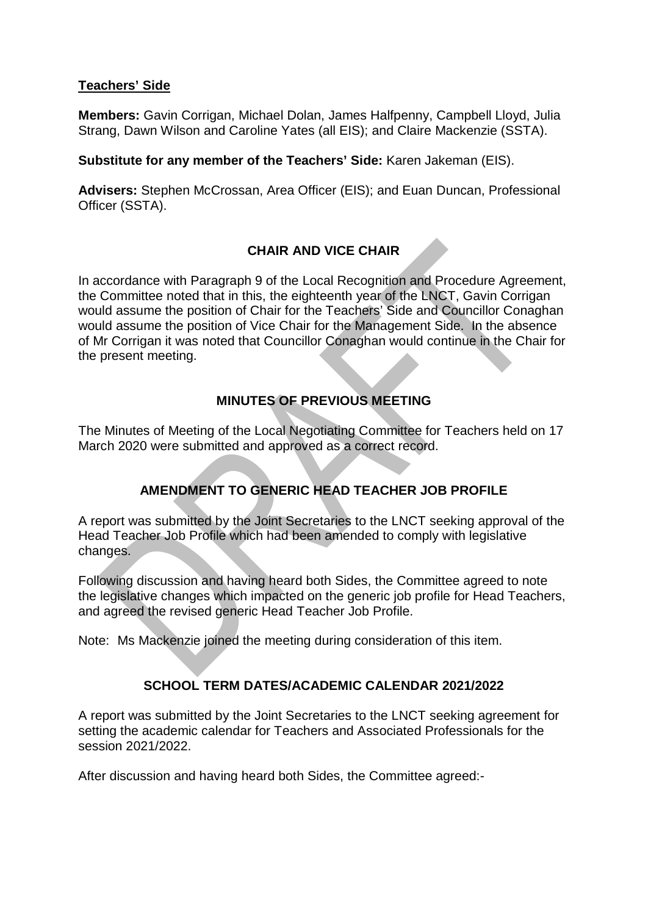#### **Teachers' Side**

**Members:** Gavin Corrigan, Michael Dolan, James Halfpenny, Campbell Lloyd, Julia Strang, Dawn Wilson and Caroline Yates (all EIS); and Claire Mackenzie (SSTA).

**Substitute for any member of the Teachers' Side:** Karen Jakeman (EIS).

**Advisers:** Stephen McCrossan, Area Officer (EIS); and Euan Duncan, Professional Officer (SSTA).

### **CHAIR AND VICE CHAIR**

In accordance with Paragraph 9 of the Local Recognition and Procedure Agreement, the Committee noted that in this, the eighteenth year of the LNCT, Gavin Corrigan would assume the position of Chair for the Teachers' Side and Councillor Conaghan would assume the position of Vice Chair for the Management Side. In the absence of Mr Corrigan it was noted that Councillor Conaghan would continue in the Chair for the present meeting.

### **MINUTES OF PREVIOUS MEETING**

The Minutes of Meeting of the Local Negotiating Committee for Teachers held on 17 March 2020 were submitted and approved as a correct record.

# **AMENDMENT TO GENERIC HEAD TEACHER JOB PROFILE**

A report was submitted by the Joint Secretaries to the LNCT seeking approval of the Head Teacher Job Profile which had been amended to comply with legislative changes.

Following discussion and having heard both Sides, the Committee agreed to note the legislative changes which impacted on the generic job profile for Head Teachers, and agreed the revised generic Head Teacher Job Profile.

Note: Ms Mackenzie joined the meeting during consideration of this item.

### **SCHOOL TERM DATES/ACADEMIC CALENDAR 2021/2022**

A report was submitted by the Joint Secretaries to the LNCT seeking agreement for setting the academic calendar for Teachers and Associated Professionals for the session 2021/2022.

After discussion and having heard both Sides, the Committee agreed:-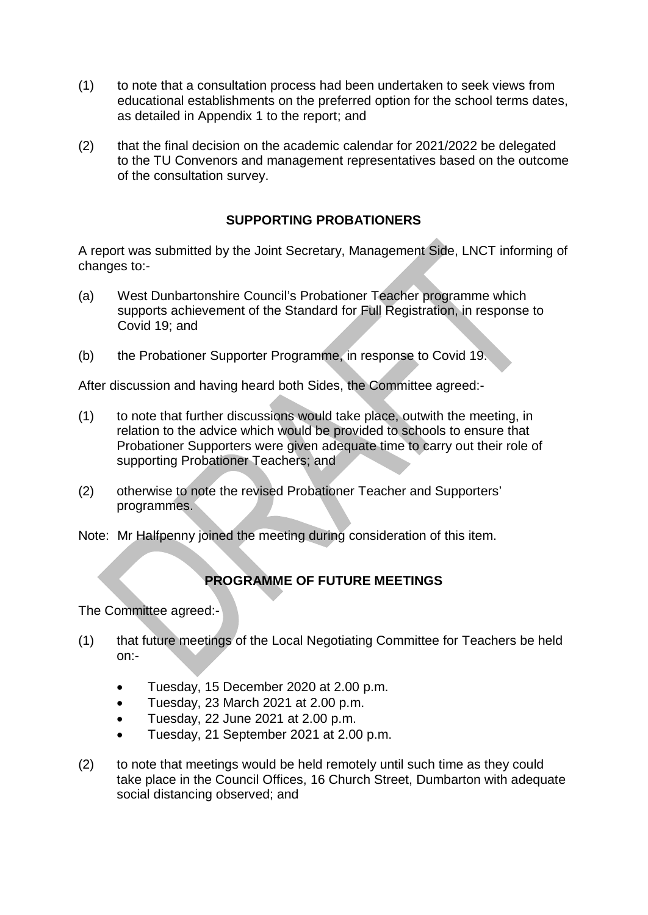- (1) to note that a consultation process had been undertaken to seek views from educational establishments on the preferred option for the school terms dates, as detailed in Appendix 1 to the report; and
- (2) that the final decision on the academic calendar for 2021/2022 be delegated to the TU Convenors and management representatives based on the outcome of the consultation survey.

### **SUPPORTING PROBATIONERS**

A report was submitted by the Joint Secretary, Management Side, LNCT informing of changes to:-

- (a) West Dunbartonshire Council's Probationer Teacher programme which supports achievement of the Standard for Full Registration, in response to Covid 19; and
- (b) the Probationer Supporter Programme, in response to Covid 19.

After discussion and having heard both Sides, the Committee agreed:-

- (1) to note that further discussions would take place, outwith the meeting, in relation to the advice which would be provided to schools to ensure that Probationer Supporters were given adequate time to carry out their role of supporting Probationer Teachers; and
- (2) otherwise to note the revised Probationer Teacher and Supporters' programmes.
- Note: Mr Halfpenny joined the meeting during consideration of this item.

# **PROGRAMME OF FUTURE MEETINGS**

The Committee agreed:-

- (1) that future meetings of the Local Negotiating Committee for Teachers be held on:-
	- Tuesday, 15 December 2020 at 2.00 p.m.
	- Tuesday, 23 March 2021 at 2.00 p.m.
	- Tuesday, 22 June 2021 at 2.00 p.m.
	- Tuesday, 21 September 2021 at 2.00 p.m.
- (2) to note that meetings would be held remotely until such time as they could take place in the Council Offices, 16 Church Street, Dumbarton with adequate social distancing observed; and